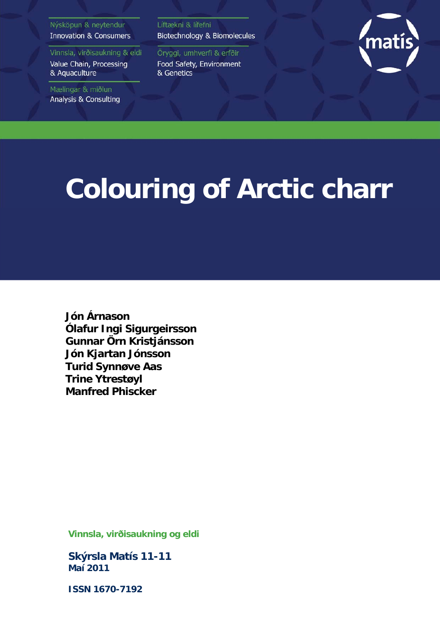#### Nýsköpun & neytendur **Innovation & Consumers**

Vinnsla, virðisaukning & eldi Value Chain, Processing & Aquaculture

Mælingar & miðlun Analysis & Consulting Líftækni & lífefni Biotechnology & Biomolecules

Öryggi, umhverfi & erfðir Food Safety, Environment & Genetics



# **Colouring of Arctic charr**

**Jón Árnason Ólafur Ingi Sigurgeirsson Gunnar Örn Kristjánsson Jón Kjartan Jónsson Turid Synnøve Aas Trine Ytrestøyl Manfred Phiscker** 

**Vinnsla, virðisaukning og eldi** 

**Skýrsla Matís 11-11 Maí 2011** 

**ISSN 1670-7192**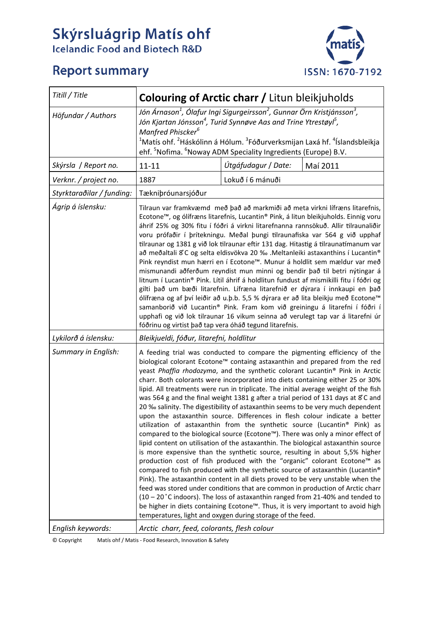# Skýrsluágrip Matís ohf<br>Icelandic Food and Biotech R&D

# **Report summary**



| Titill / Title            | <b>Colouring of Arctic charr / Litun bleikjuholds</b>                                                                                                                                                                                                                                                                                                                                                                                                                                                                                                                                                                                                                                                                                                                                                                                                                                                                                                                                                                                                                                                                                                                                                                                                                                                                                                                                                                                                                                                                                                                                      |                     |          |  |  |
|---------------------------|--------------------------------------------------------------------------------------------------------------------------------------------------------------------------------------------------------------------------------------------------------------------------------------------------------------------------------------------------------------------------------------------------------------------------------------------------------------------------------------------------------------------------------------------------------------------------------------------------------------------------------------------------------------------------------------------------------------------------------------------------------------------------------------------------------------------------------------------------------------------------------------------------------------------------------------------------------------------------------------------------------------------------------------------------------------------------------------------------------------------------------------------------------------------------------------------------------------------------------------------------------------------------------------------------------------------------------------------------------------------------------------------------------------------------------------------------------------------------------------------------------------------------------------------------------------------------------------------|---------------------|----------|--|--|
| Höfundar / Authors        | Jón Árnason <sup>1</sup> , Ólafur Ingi Sigurgeirsson <sup>2</sup> , Gunnar Örn Kristjánsson <sup>3</sup> ,<br>Jón Kjartan Jónsson <sup>4</sup> , Turid Synnøve Aas and Trine Ytrestøyl <sup>5</sup> ,<br>Manfred Phiscker <sup>6</sup><br><sup>1</sup> Matís ohf. <sup>2</sup> Háskólinn á Hólum. <sup>3</sup> Fóðurverksmijan Laxá hf. <sup>4</sup> Íslandsbleikja<br>ehf. <sup>5</sup> Nofima. <sup>6</sup> Noway ADM Speciality Ingredients (Europe) B.V.                                                                                                                                                                                                                                                                                                                                                                                                                                                                                                                                                                                                                                                                                                                                                                                                                                                                                                                                                                                                                                                                                                                               |                     |          |  |  |
| Skýrsla / Report no.      | $11 - 11$                                                                                                                                                                                                                                                                                                                                                                                                                                                                                                                                                                                                                                                                                                                                                                                                                                                                                                                                                                                                                                                                                                                                                                                                                                                                                                                                                                                                                                                                                                                                                                                  | Útgáfudagur / Date: | Maí 2011 |  |  |
| Verknr. / project no.     | 1887                                                                                                                                                                                                                                                                                                                                                                                                                                                                                                                                                                                                                                                                                                                                                                                                                                                                                                                                                                                                                                                                                                                                                                                                                                                                                                                                                                                                                                                                                                                                                                                       | Lokuð í 6 mánuði    |          |  |  |
| Styrktaraðilar / funding: | Tækniþróunarsjóður                                                                                                                                                                                                                                                                                                                                                                                                                                                                                                                                                                                                                                                                                                                                                                                                                                                                                                                                                                                                                                                                                                                                                                                                                                                                                                                                                                                                                                                                                                                                                                         |                     |          |  |  |
| Ágrip á íslensku:         | Tilraun var framkvæmd með það að markmiði að meta virkni lífræns litarefnis,<br>Ecotone™, og ólífræns litarefnis, Lucantin® Pink, á litun bleikjuholds. Einnig voru<br>áhrif 25% og 30% fitu í fóðri á virkni litarefnanna rannsökuð. Allir tilraunaliðir<br>voru prófaðir í þrítekningu. Meðal þungi tilraunafiska var 564 g við upphaf<br>tilraunar og 1381 g við lok tilraunar eftir 131 dag. Hitastig á tilraunatímanum var<br>að meðaltali 8°C og selta eldisvökva 20 ‰ .Meltanleiki astaxanthins í Lucantin®<br>Pink reyndist mun hærri en í Ecotone™. Munur á holdlit sem mældur var með<br>mismunandi aðferðum reyndist mun minni og bendir það til betri nýtingar á<br>litnum í Lucantin® Pink. Lítil áhrif á holdlitun fundust af mismikilli fitu í fóðri og<br>gilti það um bæði litarefnin. Lífræna litarefnið er dýrara í innkaupi en það<br>ólífræna og af því leiðir að u.þ.b. 5,5 % dýrara er að lita bleikju með Ecotone™<br>samanborið við Lucantin® Pink. Fram kom við greiningu á litarefni í fóðri í<br>upphafi og við lok tilraunar 16 vikum seinna að verulegt tap var á litarefni úr<br>fóðrinu og virtist það tap vera óháð tegund litarefnis.                                                                                                                                                                                                                                                                                                                                                                                                                    |                     |          |  |  |
| Lykilorð á íslensku:      | Bleikjueldi, fóður, litarefni, holdlitur                                                                                                                                                                                                                                                                                                                                                                                                                                                                                                                                                                                                                                                                                                                                                                                                                                                                                                                                                                                                                                                                                                                                                                                                                                                                                                                                                                                                                                                                                                                                                   |                     |          |  |  |
| Summary in English:       | A feeding trial was conducted to compare the pigmenting efficiency of the<br>biological colorant Ecotone™ containg astaxanthin and prepared from the red<br>yeast Phaffia rhodozyma, and the synthetic colorant Lucantin® Pink in Arctic<br>charr. Both colorants were incorporated into diets containing either 25 or 30%<br>lipid. All treatments were run in triplicate. The initial average weight of the fish<br>was 564 g and the final weight 1381 g after a trial period of 131 days at 8°C and<br>20 ‰ salinity. The digestibility of astaxanthin seems to be very much dependent<br>upon the astaxanthin source. Differences in flesh colour indicate a better<br>utilization of astaxanthin from the synthetic source (Lucantin® Pink) as<br>compared to the biological source (Ecotone™). There was only a minor effect of<br>lipid content on utilisation of the astaxanthin. The biological astaxanthin source<br>is more expensive than the synthetic source, resulting in about 5,5% higher<br>production cost of fish produced with the "organic" colorant Ecotone™ as<br>compared to fish produced with the synthetic source of astaxanthin (Lucantin®<br>Pink). The astaxanthin content in all diets proved to be very unstable when the<br>feed was stored under conditions that are common in production of Arctic charr<br>$(10 - 20^{\circ}$ C indoors). The loss of astaxanthin ranged from 21-40% and tended to<br>be higher in diets containing Ecotone™. Thus, it is very important to avoid high<br>temperatures, light and oxygen during storage of the feed. |                     |          |  |  |
| English keywords:         | Arctic charr, feed, colorants, flesh colour                                                                                                                                                                                                                                                                                                                                                                                                                                                                                                                                                                                                                                                                                                                                                                                                                                                                                                                                                                                                                                                                                                                                                                                                                                                                                                                                                                                                                                                                                                                                                |                     |          |  |  |

© Copyright Matís ohf / Matis ‐ Food Research, Innovation & Safety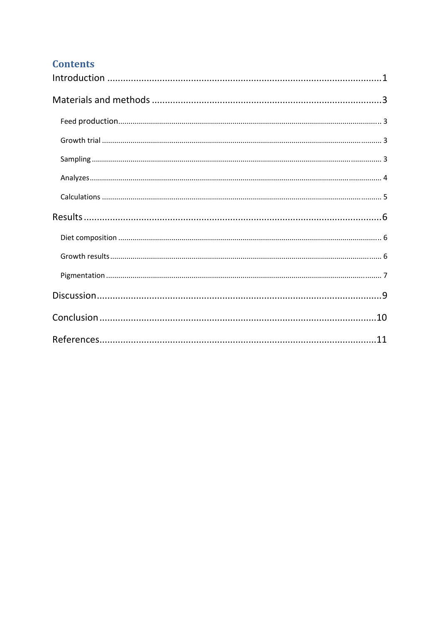# **Contents**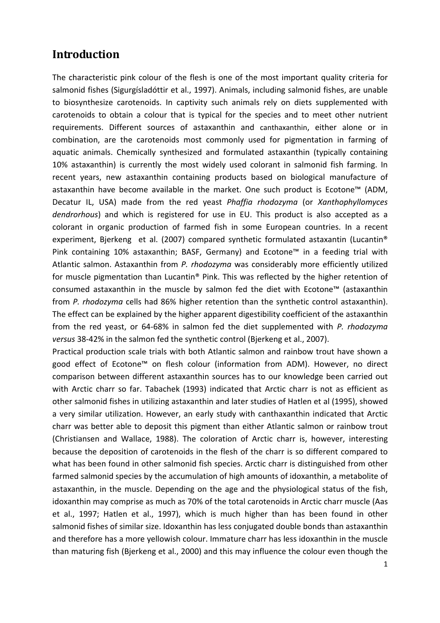# **Introduction**

The characteristic pink colour of the flesh is one of the most important quality criteria for salmonid fishes (Sigurgísladóttir et al., 1997). Animals, including salmonid fishes, are unable to biosynthesize carotenoids. In captivity such animals rely on diets supplemented with carotenoids to obtain a colour that is typical for the species and to meet other nutrient requirements. Different sources of astaxanthin and canthaxanthin, either alone or in combination, are the carotenoids most commonly used for pigmentation in farming of aquatic animals. Chemically synthesized and formulated astaxanthin (typically containing 10% astaxanthin) is currently the most widely used colorant in salmonid fish farming. In recent years, new astaxanthin containing products based on biological manufacture of astaxanthin have become available in the market. One such product is Ecotone™ (ADM, Decatur IL, USA) made from the red yeast *Phaffia rhodozyma* (or *Xanthophyllomyces dendrorhous*) and which is registered for use in EU. This product is also accepted as a colorant in organic production of farmed fish in some European countries. In a recent experiment, Bjerkeng et al. (2007) compared synthetic formulated astaxantin (Lucantin<sup>®</sup> Pink containing 10% astaxanthin; BASF, Germany) and Ecotone<sup>™</sup> in a feeding trial with Atlantic salmon. Astaxanthin from *P. rhodozyma* was considerably more efficiently utilized for muscle pigmentation than Lucantin® Pink. This was reflected by the higher retention of consumed astaxanthin in the muscle by salmon fed the diet with Ecotone™ (astaxanthin from *P. rhodozyma* cells had 86% higher retention than the synthetic control astaxanthin). The effect can be explained by the higher apparent digestibility coefficient of the astaxanthin from the red yeast, or 64‐68% in salmon fed the diet supplemented with *P. rhodozyma versus* 38‐42% in the salmon fed the synthetic control (Bjerkeng et al., 2007).

Practical production scale trials with both Atlantic salmon and rainbow trout have shown a good effect of Ecotone™ on flesh colour (information from ADM). However, no direct comparison between different astaxanthin sources has to our knowledge been carried out with Arctic charr so far. Tabachek (1993) indicated that Arctic charr is not as efficient as other salmonid fishes in utilizing astaxanthin and later studies of Hatlen et al (1995), showed a very similar utilization. However, an early study with canthaxanthin indicated that Arctic charr was better able to deposit this pigment than either Atlantic salmon or rainbow trout (Christiansen and Wallace, 1988). The coloration of Arctic charr is, however, interesting because the deposition of carotenoids in the flesh of the charr is so different compared to what has been found in other salmonid fish species. Arctic charr is distinguished from other farmed salmonid species by the accumulation of high amounts of idoxanthin, a metabolite of astaxanthin, in the muscle. Depending on the age and the physiological status of the fish, idoxanthin may comprise as much as 70% of the total carotenoids in Arctic charr muscle (Aas et al., 1997; Hatlen et al., 1997), which is much higher than has been found in other salmonid fishes of similar size. Idoxanthin has less conjugated double bonds than astaxanthin and therefore has a more yellowish colour. Immature charr has less idoxanthin in the muscle than maturing fish (Bjerkeng et al., 2000) and this may influence the colour even though the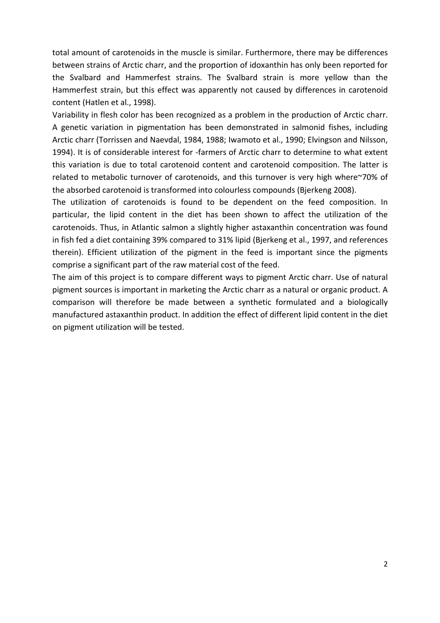total amount of carotenoids in the muscle is similar. Furthermore, there may be differences between strains of Arctic charr, and the proportion of idoxanthin has only been reported for the Svalbard and Hammerfest strains. The Svalbard strain is more yellow than the Hammerfest strain, but this effect was apparently not caused by differences in carotenoid content (Hatlen et al., 1998).

Variability in flesh color has been recognized as a problem in the production of Arctic charr. A genetic variation in pigmentation has been demonstrated in salmonid fishes, including Arctic charr (Torrissen and Naevdal, 1984, 1988; Iwamoto et al., 1990; Elvingson and Nilsson, 1994). It is of considerable interest for ‐farmers of Arctic charr to determine to what extent this variation is due to total carotenoid content and carotenoid composition. The latter is related to metabolic turnover of carotenoids, and this turnover is very high where~70% of the absorbed carotenoid is transformed into colourless compounds (Bjerkeng 2008).

The utilization of carotenoids is found to be dependent on the feed composition. In particular, the lipid content in the diet has been shown to affect the utilization of the carotenoids. Thus, in Atlantic salmon a slightly higher astaxanthin concentration was found in fish fed a diet containing 39% compared to 31% lipid (Bjerkeng et al., 1997, and references therein). Efficient utilization of the pigment in the feed is important since the pigments comprise a significant part of the raw material cost of the feed.

The aim of this project is to compare different ways to pigment Arctic charr. Use of natural pigment sources is important in marketing the Arctic charr as a natural or organic product. A comparison will therefore be made between a synthetic formulated and a biologically manufactured astaxanthin product. In addition the effect of different lipid content in the diet on pigment utilization will be tested.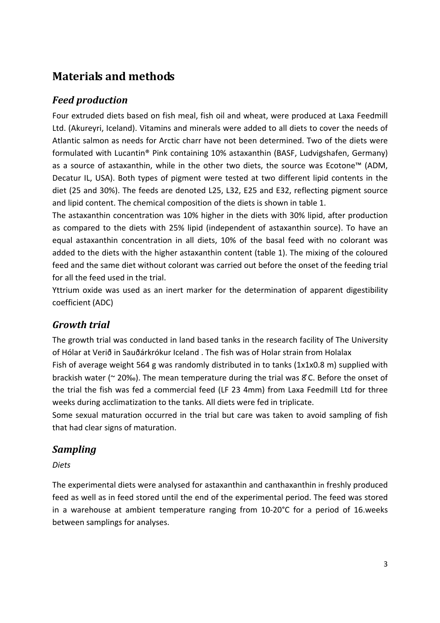# **Materials and methods**

## *Feed production*

Four extruded diets based on fish meal, fish oil and wheat, were produced at Laxa Feedmill Ltd. (Akureyri, Iceland). Vitamins and minerals were added to all diets to cover the needs of Atlantic salmon as needs for Arctic charr have not been determined. Two of the diets were formulated with Lucantin® Pink containing 10% astaxanthin (BASF, Ludvigshafen, Germany) as a source of astaxanthin, while in the other two diets, the source was Ecotone™ (ADM, Decatur IL, USA). Both types of pigment were tested at two different lipid contents in the diet (25 and 30%). The feeds are denoted L25, L32, E25 and E32, reflecting pigment source and lipid content. The chemical composition of the diets is shown in table 1.

The astaxanthin concentration was 10% higher in the diets with 30% lipid, after production as compared to the diets with 25% lipid (independent of astaxanthin source). To have an equal astaxanthin concentration in all diets, 10% of the basal feed with no colorant was added to the diets with the higher astaxanthin content (table 1). The mixing of the coloured feed and the same diet without colorant was carried out before the onset of the feeding trial for all the feed used in the trial.

Yttrium oxide was used as an inert marker for the determination of apparent digestibility coefficient (ADC)

## *Growth trial*

The growth trial was conducted in land based tanks in the research facility of The University of Hólar at Verið in Sauðárkrókur Iceland . The fish was of Holar strain from Holalax Fish of average weight 564 g was randomly distributed in to tanks (1x1x0.8 m) supplied with brackish water ( $\sim$  20‰). The mean temperature during the trial was  $\mathcal{E}$  C. Before the onset of the trial the fish was fed a commercial feed (LF 23 4mm) from Laxa Feedmill Ltd for three weeks during acclimatization to the tanks. All diets were fed in triplicate.

Some sexual maturation occurred in the trial but care was taken to avoid sampling of fish that had clear signs of maturation.

## *Sampling*

#### *Diets*

The experimental diets were analysed for astaxanthin and canthaxanthin in freshly produced feed as well as in feed stored until the end of the experimental period. The feed was stored in a warehouse at ambient temperature ranging from 10‐20°C for a period of 16.weeks between samplings for analyses.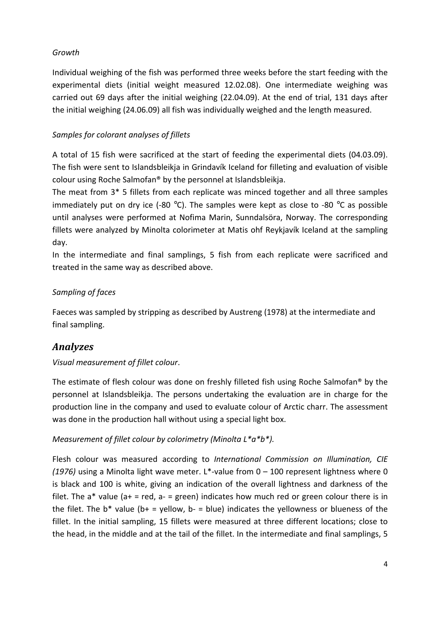#### *Growth*

Individual weighing of the fish was performed three weeks before the start feeding with the experimental diets (initial weight measured 12.02.08). One intermediate weighing was carried out 69 days after the initial weighing (22.04.09). At the end of trial, 131 days after the initial weighing (24.06.09) all fish was individually weighed and the length measured.

#### *Samples for colorant analyses of fillets*

A total of 15 fish were sacrificed at the start of feeding the experimental diets (04.03.09). The fish were sent to Islandsbleikja in Grindavík Iceland for filleting and evaluation of visible colour using Roche Salmofan® by the personnel at Islandsbleikja.

The meat from 3\* 5 fillets from each replicate was minced together and all three samples immediately put on dry ice (-80  $^{\circ}$ C). The samples were kept as close to  $-80$   $^{\circ}$ C as possible until analyses were performed at Nofima Marin, Sunndalsöra, Norway. The corresponding fillets were analyzed by Minolta colorimeter at Matis ohf Reykjavík Iceland at the sampling day.

In the intermediate and final samplings, 5 fish from each replicate were sacrificed and treated in the same way as described above.

### *Sampling of faces*

Faeces was sampled by stripping as described by Austreng (1978) at the intermediate and final sampling.

## *Analyzes*

#### *Visual measurement of fillet colour*.

The estimate of flesh colour was done on freshly filleted fish using Roche Salmofan® by the personnel at Islandsbleikja. The persons undertaking the evaluation are in charge for the production line in the company and used to evaluate colour of Arctic charr. The assessment was done in the production hall without using a special light box.

#### *Measurement of fillet colour by colorimetry (Minolta L\*a\*b\*).*

Flesh colour was measured according to *International Commission on Illumination, CIE (1976)* using a Minolta light wave meter. L\*‐value from 0 – 100 represent lightness where 0 is black and 100 is white, giving an indication of the overall lightness and darkness of the filet. The  $a^*$  value ( $a^+$  = red,  $a^-$  = green) indicates how much red or green colour there is in the filet. The  $b^*$  value ( $b^+$  = yellow,  $b^-$  = blue) indicates the yellowness or blueness of the fillet. In the initial sampling, 15 fillets were measured at three different locations; close to the head, in the middle and at the tail of the fillet. In the intermediate and final samplings, 5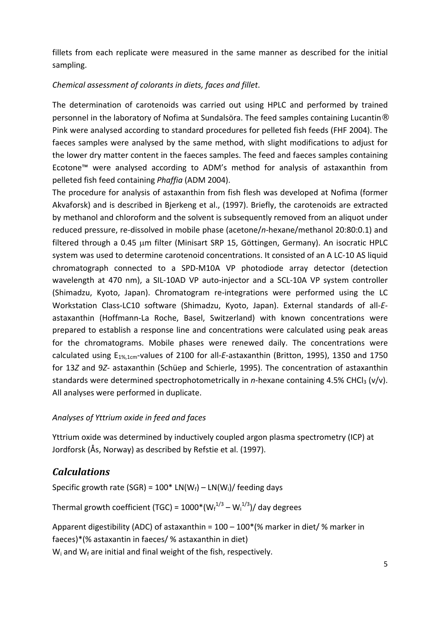fillets from each replicate were measured in the same manner as described for the initial sampling.

#### *Chemical assessment of colorants in diets, faces and fillet*.

The determination of carotenoids was carried out using HPLC and performed by trained personnel in the laboratory of Nofima at Sundalsöra. The feed samples containing Lucantin® Pink were analysed according to standard procedures for pelleted fish feeds (FHF 2004). The faeces samples were analysed by the same method, with slight modifications to adjust for the lower dry matter content in the faeces samples. The feed and faeces samples containing Ecotone™ were analysed according to ADM's method for analysis of astaxanthin from pelleted fish feed containing *Phaffia* (ADM 2004).

The procedure for analysis of astaxanthin from fish flesh was developed at Nofima (former Akvaforsk) and is described in Bjerkeng et al., (1997). Briefly, the carotenoids are extracted by methanol and chloroform and the solvent is subsequently removed from an aliquot under reduced pressure, re‐dissolved in mobile phase (acetone/*n*‐hexane/methanol 20:80:0.1) and filtered through a 0.45 μm filter (Minisart SRP 15, Göttingen, Germany). An isocratic HPLC system was used to determine carotenoid concentrations. It consisted of an A LC‐10 AS liquid chromatograph connected to a SPD‐M10A VP photodiode array detector (detection wavelength at 470 nm), a SIL-10AD VP auto-injector and a SCL-10A VP system controller (Shimadzu, Kyoto, Japan). Chromatogram re‐integrations were performed using the LC Workstation Class‐LC10 software (Shimadzu, Kyoto, Japan). External standards of all‐*E‐* astaxanthin (Hoffmann‐La Roche, Basel, Switzerland) with known concentrations were prepared to establish a response line and concentrations were calculated using peak areas for the chromatograms. Mobile phases were renewed daily. The concentrations were calculated using E1%,1cm‐values of 2100 for all‐*E*‐astaxanthin (Britton, 1995), 1350 and 1750 for 13*Z* and 9*Z‐* astaxanthin (Schüep and Schierle, 1995). The concentration of astaxanthin standards were determined spectrophotometrically in *n*-hexane containing 4.5% CHCl<sub>3</sub> (v/v). All analyses were performed in duplicate.

#### *Analyses of Yttrium oxide in feed and faces*

Yttrium oxide was determined by inductively coupled argon plasma spectrometry (ICP) at Jordforsk (Ås, Norway) as described by Refstie et al. (1997).

### *Calculations*

Specific growth rate (SGR) =  $100*$  LN(W<sub>f</sub>) – LN(W<sub>i</sub>)/ feeding days

Thermal growth coefficient (TGC) =  $1000^{\ast}$ (W $_{\rm f}^{1/3}$  – W $_{\rm i}^{1/3}$ )/ day degrees

Apparent digestibility (ADC) of astaxanthin =  $100 - 100$ <sup>\*</sup>(% marker in diet/ % marker in faeces)\*(% astaxantin in faeces/ % astaxanthin in diet)  $W_i$  and  $W_f$  are initial and final weight of the fish, respectively.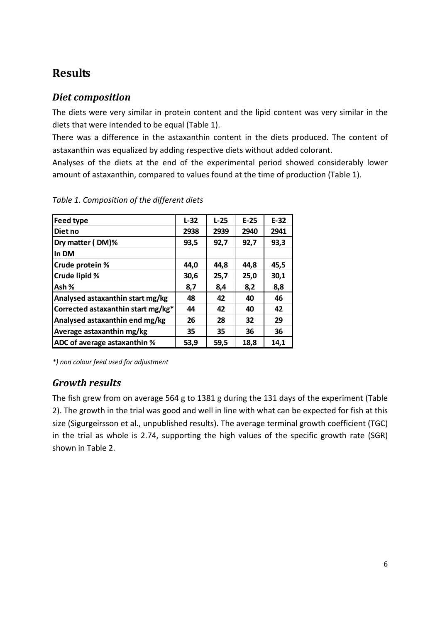# **Results**

## *Diet composition*

The diets were very similar in protein content and the lipid content was very similar in the diets that were intended to be equal (Table 1).

There was a difference in the astaxanthin content in the diets produced. The content of astaxanthin was equalized by adding respective diets without added colorant.

Analyses of the diets at the end of the experimental period showed considerably lower amount of astaxanthin, compared to values found at the time of production (Table 1).

| Feed type                          | $L-32$ | $L-25$ | $E-25$ | $E-32$ |
|------------------------------------|--------|--------|--------|--------|
|                                    |        |        |        |        |
| Diet no                            | 2938   | 2939   | 2940   | 2941   |
| Dry matter (DM)%                   | 93,5   | 92,7   | 92,7   | 93,3   |
| In DM                              |        |        |        |        |
| Crude protein %                    | 44,0   | 44,8   | 44,8   | 45,5   |
| Crude lipid %                      | 30,6   | 25,7   | 25,0   | 30,1   |
| Ash %                              | 8,7    | 8,4    | 8,2    | 8,8    |
| Analysed astaxanthin start mg/kg   | 48     | 42     | 40     | 46     |
| Corrected astaxanthin start mg/kg* | 44     | 42     | 40     | 42     |
| Analysed astaxanthin end mg/kg     | 26     | 28     | 32     | 29     |
| Average astaxanthin mg/kg          | 35     | 35     | 36     | 36     |
| ADC of average astaxanthin %       | 53,9   | 59,5   | 18,8   | 14,1   |

*Table 1. Composition of the different diets*

*\*) non colour feed used for adjustment*

## *Growth results*

The fish grew from on average 564 g to 1381 g during the 131 days of the experiment (Table 2). The growth in the trial was good and well in line with what can be expected for fish at this size (Sigurgeirsson et al., unpublished results). The average terminal growth coefficient (TGC) in the trial as whole is 2.74, supporting the high values of the specific growth rate (SGR) shown in Table 2.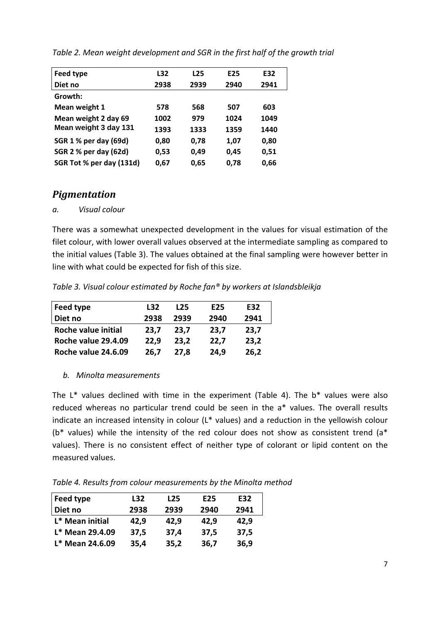| Feed type                | L32  | L <sub>25</sub> | E <sub>25</sub> | E32  |
|--------------------------|------|-----------------|-----------------|------|
| Diet no                  | 2938 | 2939            | 2940            | 2941 |
| Growth:                  |      |                 |                 |      |
| Mean weight 1            | 578  | 568             | 507             | 603  |
| Mean weight 2 day 69     | 1002 | 979             | 1024            | 1049 |
| Mean weight 3 day 131    | 1393 | 1333            | 1359            | 1440 |
| SGR 1 % per day (69d)    | 0,80 | 0.78            | 1,07            | 0,80 |
| SGR 2 % per day (62d)    | 0,53 | 0,49            | 0,45            | 0,51 |
| SGR Tot % per day (131d) | 0,67 | 0,65            | 0,78            | 0,66 |

*Table 2. Mean weight development and SGR in the first half of the growth trial*

### *Pigmentation*

#### *a. Visual colour*

There was a somewhat unexpected development in the values for visual estimation of the filet colour, with lower overall values observed at the intermediate sampling as compared to the initial values (Table 3). The values obtained at the final sampling were however better in line with what could be expected for fish of this size.

*Table 3. Visual colour estimated by Roche fan® by workers at Islandsbleikja*

| Feed type           | L32  | L <sub>25</sub> | E <sub>25</sub> | E32  |
|---------------------|------|-----------------|-----------------|------|
| Diet no             | 2938 | 2939            | 2940            | 2941 |
| Roche value initial | 23,7 | 23.7            | 23,7            | 23,7 |
| Roche value 29.4.09 | 22,9 | 23,2            | 22,7            | 23,2 |
| Roche value 24.6.09 | 26,7 | 27.8            | 24,9            | 26,2 |

#### *b. Minolta measurements*

The  $L^*$  values declined with time in the experiment (Table 4). The  $b^*$  values were also reduced whereas no particular trend could be seen in the a\* values. The overall results indicate an increased intensity in colour (L\* values) and a reduction in the yellowish colour ( $b^*$  values) while the intensity of the red colour does not show as consistent trend ( $a^*$ values). There is no consistent effect of neither type of colorant or lipid content on the measured values.

*Table 4. Results from colour measurements by the Minolta method*

| Feed type       | L32  | L <sub>25</sub> | E <sub>25</sub> | E32  |
|-----------------|------|-----------------|-----------------|------|
| Diet no         | 2938 | 2939            | 2940            | 2941 |
| L* Mean initial | 42,9 | 42,9            | 42,9            | 42,9 |
| L* Mean 29.4.09 | 37,5 | 37,4            | 37,5            | 37,5 |
| L* Mean 24.6.09 | 35,4 | 35,2            | 36,7            | 36,9 |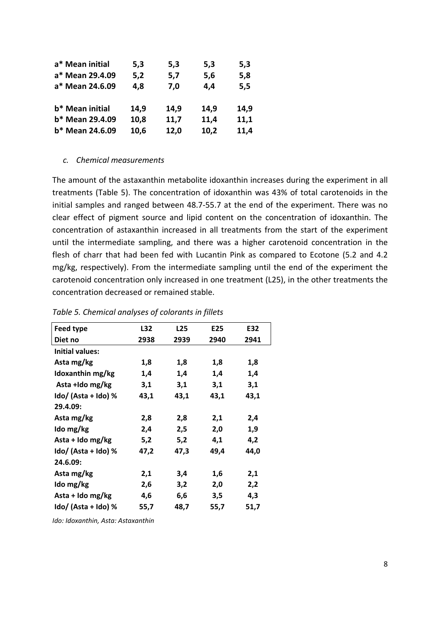| a* Mean initial | 5,3  | 5,3  | 5,3  | 5,3  |
|-----------------|------|------|------|------|
| a* Mean 29.4.09 | 5,2  | 5,7  | 5,6  | 5,8  |
| a* Mean 24.6.09 | 4,8  | 7,0  | 4,4  | 5,5  |
|                 |      |      |      |      |
| b* Mean initial | 14,9 | 14,9 | 14,9 | 14,9 |
| b* Mean 29.4.09 | 10,8 | 11,7 | 11,4 | 11,1 |
| b* Mean 24.6.09 | 10,6 | 12,0 | 10,2 | 11,4 |

#### *c. Chemical measurements*

The amount of the astaxanthin metabolite idoxanthin increases during the experiment in all treatments (Table 5). The concentration of idoxanthin was 43% of total carotenoids in the initial samples and ranged between 48.7‐55.7 at the end of the experiment. There was no clear effect of pigment source and lipid content on the concentration of idoxanthin. The concentration of astaxanthin increased in all treatments from the start of the experiment until the intermediate sampling, and there was a higher carotenoid concentration in the flesh of charr that had been fed with Lucantin Pink as compared to Ecotone (5.2 and 4.2 mg/kg, respectively). From the intermediate sampling until the end of the experiment the carotenoid concentration only increased in one treatment (L25), in the other treatments the concentration decreased or remained stable.

| <b>Feed type</b>       | L32  | L <sub>25</sub> | E25  | E32  |
|------------------------|------|-----------------|------|------|
| Diet no                | 2938 | 2939            | 2940 | 2941 |
| <b>Initial values:</b> |      |                 |      |      |
| Asta mg/kg             | 1,8  | 1,8             | 1,8  | 1,8  |
| Idoxanthin mg/kg       | 1,4  | 1,4             | 1,4  | 1,4  |
| Asta +Ido mg/kg        | 3,1  | 3,1             | 3,1  | 3,1  |
| ldo/ (Asta + Ido) %    | 43,1 | 43,1            | 43,1 | 43,1 |
| 29.4.09:               |      |                 |      |      |
| Asta mg/kg             | 2,8  | 2,8             | 2,1  | 2,4  |
| Ido mg/kg              | 2,4  | 2,5             | 2,0  | 1,9  |
| Asta + Ido mg/kg       | 5,2  | 5,2             | 4,1  | 4,2  |
| ldo/ (Asta + Ido) %    | 47,2 | 47,3            | 49,4 | 44,0 |
| 24.6.09:               |      |                 |      |      |
| Asta mg/kg             | 2,1  | 3,4             | 1,6  | 2,1  |
| Ido mg/kg              | 2,6  | 3,2             | 2,0  | 2,2  |
| Asta + Ido mg/kg       | 4,6  | 6,6             | 3,5  | 4,3  |
| Ido/ (Asta + Ido) %    | 55,7 | 48,7            | 55,7 | 51,7 |
|                        |      |                 |      |      |

#### *Table 5. Chemical analyses of colorants in fillets*

*Ido: Idoxanthin, Asta: Astaxanthin*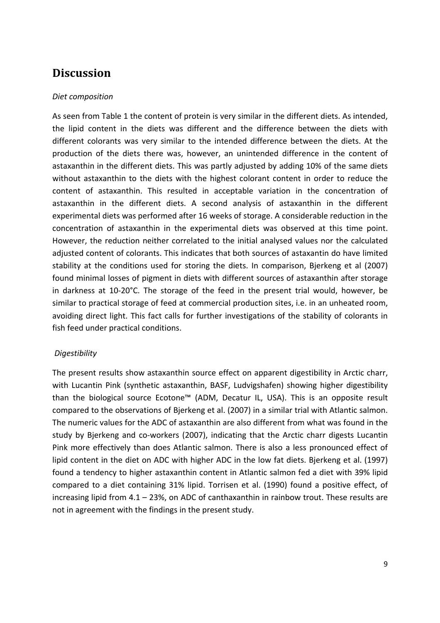## **Discussion**

#### *Diet composition*

As seen from Table 1 the content of protein is very similar in the different diets. As intended, the lipid content in the diets was different and the difference between the diets with different colorants was very similar to the intended difference between the diets. At the production of the diets there was, however, an unintended difference in the content of astaxanthin in the different diets. This was partly adjusted by adding 10% of the same diets without astaxanthin to the diets with the highest colorant content in order to reduce the content of astaxanthin. This resulted in acceptable variation in the concentration of astaxanthin in the different diets. A second analysis of astaxanthin in the different experimental diets was performed after 16 weeks of storage. A considerable reduction in the concentration of astaxanthin in the experimental diets was observed at this time point. However, the reduction neither correlated to the initial analysed values nor the calculated adjusted content of colorants. This indicates that both sources of astaxantin do have limited stability at the conditions used for storing the diets. In comparison, Bjerkeng et al (2007) found minimal losses of pigment in diets with different sources of astaxanthin after storage in darkness at 10‐20°C. The storage of the feed in the present trial would, however, be similar to practical storage of feed at commercial production sites, i.e. in an unheated room, avoiding direct light. This fact calls for further investigations of the stability of colorants in fish feed under practical conditions.

#### *Digestibility*

The present results show astaxanthin source effect on apparent digestibility in Arctic charr, with Lucantin Pink (synthetic astaxanthin, BASF, Ludvigshafen) showing higher digestibility than the biological source Ecotone™ (ADM, Decatur IL, USA). This is an opposite result compared to the observations of Bjerkeng et al. (2007) in a similar trial with Atlantic salmon. The numeric values for the ADC of astaxanthin are also different from what was found in the study by Bjerkeng and co-workers (2007), indicating that the Arctic charr digests Lucantin Pink more effectively than does Atlantic salmon. There is also a less pronounced effect of lipid content in the diet on ADC with higher ADC in the low fat diets. Bjerkeng et al. (1997) found a tendency to higher astaxanthin content in Atlantic salmon fed a diet with 39% lipid compared to a diet containing 31% lipid. Torrisen et al. (1990) found a positive effect, of increasing lipid from 4.1 – 23%, on ADC of canthaxanthin in rainbow trout. These results are not in agreement with the findings in the present study.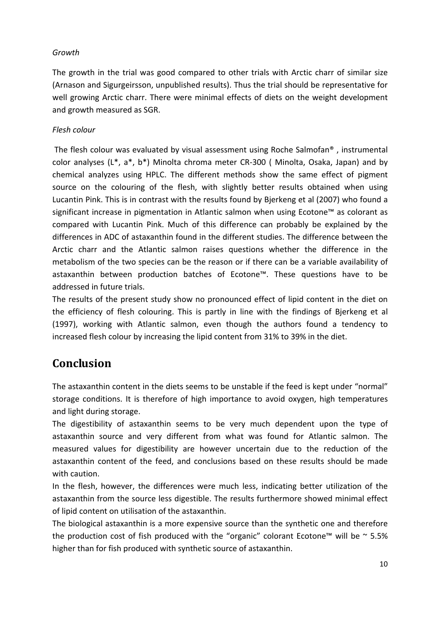#### *Growth*

The growth in the trial was good compared to other trials with Arctic charr of similar size (Arnason and Sigurgeirsson, unpublished results). Thus the trial should be representative for well growing Arctic charr. There were minimal effects of diets on the weight development and growth measured as SGR.

#### *Flesh colour*

The flesh colour was evaluated by visual assessment using Roche Salmofan® , instrumental color analyses (L\*, a\*, b\*) Minolta chroma meter CR‐300 ( Minolta, Osaka, Japan) and by chemical analyzes using HPLC. The different methods show the same effect of pigment source on the colouring of the flesh, with slightly better results obtained when using Lucantin Pink. This is in contrast with the results found by Bjerkeng et al (2007) who found a significant increase in pigmentation in Atlantic salmon when using Ecotone™ as colorant as compared with Lucantin Pink. Much of this difference can probably be explained by the differences in ADC of astaxanthin found in the different studies. The difference between the Arctic charr and the Atlantic salmon raises questions whether the difference in the metabolism of the two species can be the reason or if there can be a variable availability of astaxanthin between production batches of Ecotone™. These questions have to be addressed in future trials.

The results of the present study show no pronounced effect of lipid content in the diet on the efficiency of flesh colouring. This is partly in line with the findings of Bjerkeng et al (1997), working with Atlantic salmon, even though the authors found a tendency to increased flesh colour by increasing the lipid content from 31% to 39% in the diet.

# **Conclusion**

The astaxanthin content in the diets seems to be unstable if the feed is kept under "normal" storage conditions. It is therefore of high importance to avoid oxygen, high temperatures and light during storage.

The digestibility of astaxanthin seems to be very much dependent upon the type of astaxanthin source and very different from what was found for Atlantic salmon. The measured values for digestibility are however uncertain due to the reduction of the astaxanthin content of the feed, and conclusions based on these results should be made with caution.

In the flesh, however, the differences were much less, indicating better utilization of the astaxanthin from the source less digestible. The results furthermore showed minimal effect of lipid content on utilisation of the astaxanthin.

The biological astaxanthin is a more expensive source than the synthetic one and therefore the production cost of fish produced with the "organic" colorant Ecotone™ will be  $\sim$  5.5% higher than for fish produced with synthetic source of astaxanthin.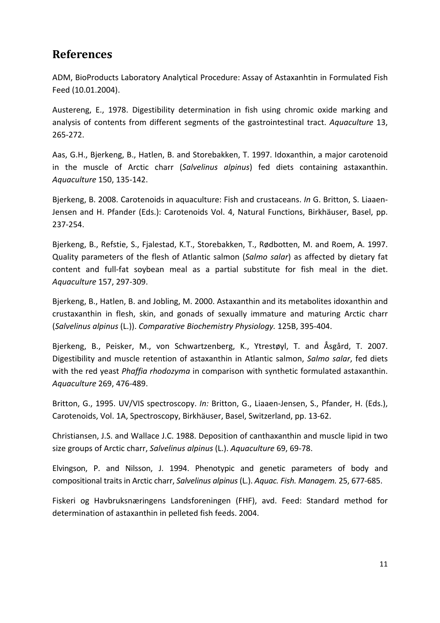# **References**

ADM, BioProducts Laboratory Analytical Procedure: Assay of Astaxanhtin in Formulated Fish Feed (10.01.2004).

Austereng, E., 1978. Digestibility determination in fish using chromic oxide marking and analysis of contents from different segments of the gastrointestinal tract. *Aquaculture* 13, 265‐272.

Aas, G.H., Bjerkeng, B., Hatlen, B. and Storebakken, T. 1997. Idoxanthin, a major carotenoid in the muscle of Arctic charr (*Salvelinus alpinus*) fed diets containing astaxanthin. *Aquaculture* 150, 135‐142.

Bjerkeng, B. 2008. Carotenoids in aquaculture: Fish and crustaceans. *In* G. Britton, S. Liaaen‐ Jensen and H. Pfander (Eds.): Carotenoids Vol. 4, Natural Functions, Birkhäuser, Basel, pp. 237‐254.

Bjerkeng, B., Refstie, S., Fjalestad, K.T., Storebakken, T., Rødbotten, M. and Roem, A. 1997. Quality parameters of the flesh of Atlantic salmon (*Salmo salar*) as affected by dietary fat content and full‐fat soybean meal as a partial substitute for fish meal in the diet. *Aquaculture* 157, 297‐309.

Bjerkeng, B., Hatlen, B. and Jobling, M. 2000. Astaxanthin and its metabolites idoxanthin and crustaxanthin in flesh, skin, and gonads of sexually immature and maturing Arctic charr (*Salvelinus alpinus* (L.)). *Comparative Biochemistry Physiology.* 125B, 395‐404.

Bjerkeng, B., Peisker, M., von Schwartzenberg, K., Ytrestøyl, T. and Åsgård, T. 2007. Digestibility and muscle retention of astaxanthin in Atlantic salmon, *Salmo salar*, fed diets with the red yeast *Phaffia rhodozyma* in comparison with synthetic formulated astaxanthin. *Aquaculture* 269, 476‐489.

Britton, G., 1995. UV/VIS spectroscopy. *In:* Britton, G., Liaaen‐Jensen, S., Pfander, H. (Eds.), Carotenoids, Vol. 1A, Spectroscopy, Birkhäuser, Basel, Switzerland, pp. 13‐62.

Christiansen, J.S. and Wallace J.C. 1988. Deposition of canthaxanthin and muscle lipid in two size groups of Arctic charr, *Salvelinus alpinus* (L.). *Aquaculture* 69, 69‐78.

Elvingson, P. and Nilsson, J. 1994. Phenotypic and genetic parameters of body and compositional traits in Arctic charr, *Salvelinus alpinus* (L.). *Aquac. Fish. Managem.* 25, 677‐685.

Fiskeri og Havbruksnæringens Landsforeningen (FHF), avd. Feed: Standard method for determination of astaxanthin in pelleted fish feeds. 2004.